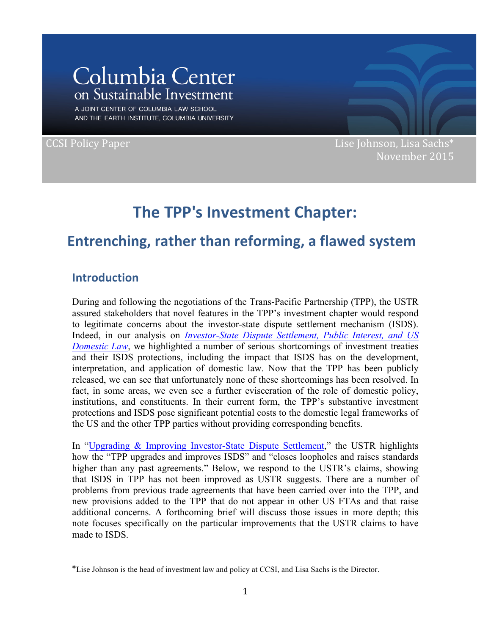# Columbia Center on Sustainable Investment

A JOINT CENTER OF COLUMBIA LAW SCHOOL AND THE EARTH INSTITUTE, COLUMBIA UNIVERSITY

CCSI Policy Paper **CCSI Policy Paper CCSI** Policy Paper November 2015

## **The TPP's Investment Chapter:**

## **Entrenching, rather than reforming, a flawed system**

### **Introduction**

During and following the negotiations of the Trans-Pacific Partnership (TPP), the USTR assured stakeholders that novel features in the TPP's investment chapter would respond to legitimate concerns about the investor-state dispute settlement mechanism (ISDS). Indeed, in our analysis on *Investor-State Dispute Settlement, Public Interest, and US Domestic Law*, we highlighted a number of serious shortcomings of investment treaties and their ISDS protections, including the impact that ISDS has on the development, interpretation, and application of domestic law. Now that the TPP has been publicly released, we can see that unfortunately none of these shortcomings has been resolved. In fact, in some areas, we even see a further evisceration of the role of domestic policy, institutions, and constituents. In their current form, the TPP's substantive investment protections and ISDS pose significant potential costs to the domestic legal frameworks of the US and the other TPP parties without providing corresponding benefits.

In "Upgrading & Improving Investor-State Dispute Settlement," the USTR highlights how the "TPP upgrades and improves ISDS" and "closes loopholes and raises standards higher than any past agreements." Below, we respond to the USTR's claims, showing that ISDS in TPP has not been improved as USTR suggests. There are a number of problems from previous trade agreements that have been carried over into the TPP, and new provisions added to the TPP that do not appear in other US FTAs and that raise additional concerns. A forthcoming brief will discuss those issues in more depth; this note focuses specifically on the particular improvements that the USTR claims to have made to ISDS.

<sup>\*</sup>Lise Johnson is the head of investment law and policy at CCSI, and Lisa Sachs is the Director.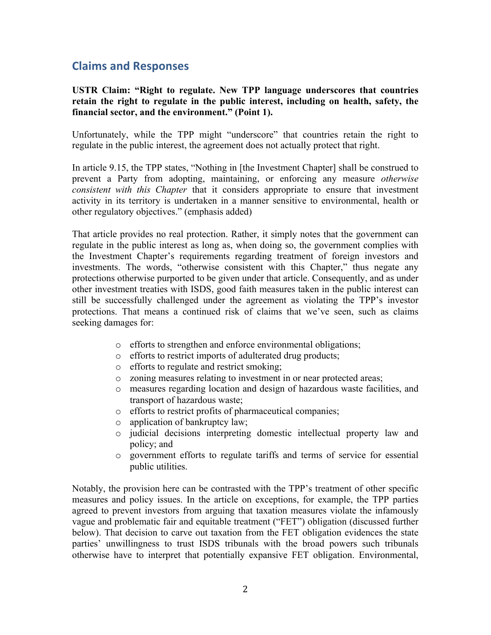### **Claims and Responses**

**USTR Claim: "Right to regulate. New TPP language underscores that countries retain the right to regulate in the public interest, including on health, safety, the financial sector, and the environment." (Point 1).**

Unfortunately, while the TPP might "underscore" that countries retain the right to regulate in the public interest, the agreement does not actually protect that right.

In article 9.15, the TPP states, "Nothing in [the Investment Chapter] shall be construed to prevent a Party from adopting, maintaining, or enforcing any measure *otherwise consistent with this Chapter* that it considers appropriate to ensure that investment activity in its territory is undertaken in a manner sensitive to environmental, health or other regulatory objectives." (emphasis added)

That article provides no real protection. Rather, it simply notes that the government can regulate in the public interest as long as, when doing so, the government complies with the Investment Chapter's requirements regarding treatment of foreign investors and investments. The words, "otherwise consistent with this Chapter," thus negate any protections otherwise purported to be given under that article. Consequently, and as under other investment treaties with ISDS, good faith measures taken in the public interest can still be successfully challenged under the agreement as violating the TPP's investor protections. That means a continued risk of claims that we've seen, such as claims seeking damages for:

- o efforts to strengthen and enforce environmental obligations;
- o efforts to restrict imports of adulterated drug products;
- o efforts to regulate and restrict smoking;
- o zoning measures relating to investment in or near protected areas;
- o measures regarding location and design of hazardous waste facilities, and transport of hazardous waste;
- o efforts to restrict profits of pharmaceutical companies;
- o application of bankruptcy law;
- o judicial decisions interpreting domestic intellectual property law and policy; and
- o government efforts to regulate tariffs and terms of service for essential public utilities.

Notably, the provision here can be contrasted with the TPP's treatment of other specific measures and policy issues. In the article on exceptions, for example, the TPP parties agreed to prevent investors from arguing that taxation measures violate the infamously vague and problematic fair and equitable treatment ("FET") obligation (discussed further below). That decision to carve out taxation from the FET obligation evidences the state parties' unwillingness to trust ISDS tribunals with the broad powers such tribunals otherwise have to interpret that potentially expansive FET obligation. Environmental,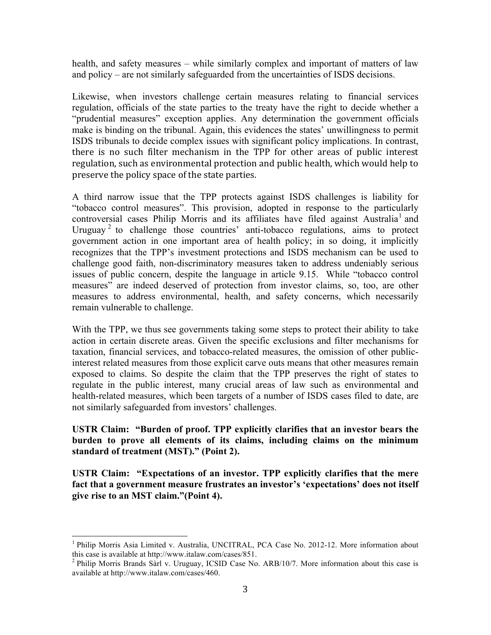health, and safety measures – while similarly complex and important of matters of law and policy – are not similarly safeguarded from the uncertainties of ISDS decisions.

Likewise, when investors challenge certain measures relating to financial services regulation, officials of the state parties to the treaty have the right to decide whether a "prudential measures" exception applies. Any determination the government officials make is binding on the tribunal. Again, this evidences the states' unwillingness to permit ISDS tribunals to decide complex issues with significant policy implications. In contrast, there is no such filter mechanism in the TPP for other areas of public interest regulation, such as environmental protection and public health, which would help to preserve the policy space of the state parties.

A third narrow issue that the TPP protects against ISDS challenges is liability for "tobacco control measures". This provision, adopted in response to the particularly controversial cases Philip Morris and its affiliates have filed against Australia<sup>1</sup> and Uruguay<sup>2</sup> to challenge those countries' anti-tobacco regulations, aims to protect government action in one important area of health policy; in so doing, it implicitly recognizes that the TPP's investment protections and ISDS mechanism can be used to challenge good faith, non-discriminatory measures taken to address undeniably serious issues of public concern, despite the language in article 9.15. While "tobacco control measures" are indeed deserved of protection from investor claims, so, too, are other measures to address environmental, health, and safety concerns, which necessarily remain vulnerable to challenge.

With the TPP, we thus see governments taking some steps to protect their ability to take action in certain discrete areas. Given the specific exclusions and filter mechanisms for taxation, financial services, and tobacco-related measures, the omission of other publicinterest related measures from those explicit carve outs means that other measures remain exposed to claims. So despite the claim that the TPP preserves the right of states to regulate in the public interest, many crucial areas of law such as environmental and health-related measures, which been targets of a number of ISDS cases filed to date, are not similarly safeguarded from investors' challenges.

#### **USTR Claim: "Burden of proof. TPP explicitly clarifies that an investor bears the burden to prove all elements of its claims, including claims on the minimum standard of treatment (MST)." (Point 2).**

**USTR Claim: "Expectations of an investor. TPP explicitly clarifies that the mere fact that a government measure frustrates an investor's 'expectations' does not itself give rise to an MST claim."(Point 4).**

<sup>&</sup>lt;sup>1</sup> Philip Morris Asia Limited v. Australia, UNCITRAL, PCA Case No. 2012-12. More information about this case is available at http://www.italaw.com/cases/851.

<sup>&</sup>lt;sup>2</sup> Philip Morris Brands Sarl v. Uruguay, ICSID Case No. ARB/10/7. More information about this case is available at http://www.italaw.com/cases/460.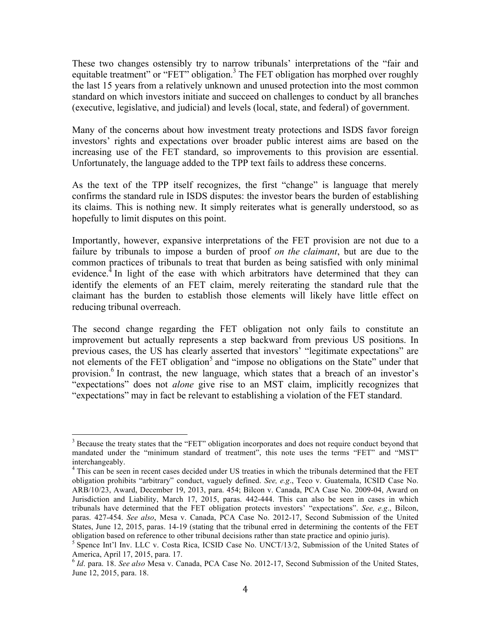These two changes ostensibly try to narrow tribunals' interpretations of the "fair and equitable treatment" or "FET" obligation.<sup>3</sup> The FET obligation has morphed over roughly the last 15 years from a relatively unknown and unused protection into the most common standard on which investors initiate and succeed on challenges to conduct by all branches (executive, legislative, and judicial) and levels (local, state, and federal) of government.

Many of the concerns about how investment treaty protections and ISDS favor foreign investors' rights and expectations over broader public interest aims are based on the increasing use of the FET standard, so improvements to this provision are essential. Unfortunately, the language added to the TPP text fails to address these concerns.

As the text of the TPP itself recognizes, the first "change" is language that merely confirms the standard rule in ISDS disputes: the investor bears the burden of establishing its claims. This is nothing new. It simply reiterates what is generally understood, so as hopefully to limit disputes on this point.

Importantly, however, expansive interpretations of the FET provision are not due to a failure by tribunals to impose a burden of proof *on the claimant*, but are due to the common practices of tribunals to treat that burden as being satisfied with only minimal evidence.<sup>4</sup> In light of the ease with which arbitrators have determined that they can identify the elements of an FET claim, merely reiterating the standard rule that the claimant has the burden to establish those elements will likely have little effect on reducing tribunal overreach.

The second change regarding the FET obligation not only fails to constitute an improvement but actually represents a step backward from previous US positions. In previous cases, the US has clearly asserted that investors' "legitimate expectations" are not elements of the FET obligation<sup>5</sup> and "impose no obligations on the State" under that provision. <sup>6</sup> In contrast, the new language, which states that a breach of an investor's "expectations" does not *alone* give rise to an MST claim, implicitly recognizes that "expectations" may in fact be relevant to establishing a violation of the FET standard.

<sup>&</sup>lt;sup>3</sup> Because the treaty states that the "FET" obligation incorporates and does not require conduct beyond that mandated under the "minimum standard of treatment", this note uses the terms "FET" and "MST" interchangeably.<br><sup>4</sup> This can be seen in recent cases decided under US treaties in which the tribunals determined that the FET

obligation prohibits "arbitrary" conduct, vaguely defined. *See, e.g*., Teco v. Guatemala, ICSID Case No. ARB/10/23, Award, December 19, 2013, para. 454; Bilcon v. Canada, PCA Case No. 2009-04, Award on Jurisdiction and Liability, March 17, 2015, paras. 442-444. This can also be seen in cases in which tribunals have determined that the FET obligation protects investors' "expectations". *See, e.g*., Bilcon, paras. 427-454. *See also*, Mesa v. Canada, PCA Case No. 2012-17, Second Submission of the United States, June 12, 2015, paras. 14-19 (stating that the tribunal erred in determining the contents of the FET obligation based on reference to other tribunal decisions rather than state practice and opinio juris).

<sup>&</sup>lt;sup>5</sup> Spence Int'l Inv. LLC v. Costa Rica, ICSID Case No. UNCT/13/2, Submission of the United States of America, April 17, 2015, para. 17.<br><sup>6</sup> *Id*. para. 18. *See also* Mesa v. Canada, PCA Case No. 2012-17, Second Submission of the United States,

June 12, 2015, para. 18.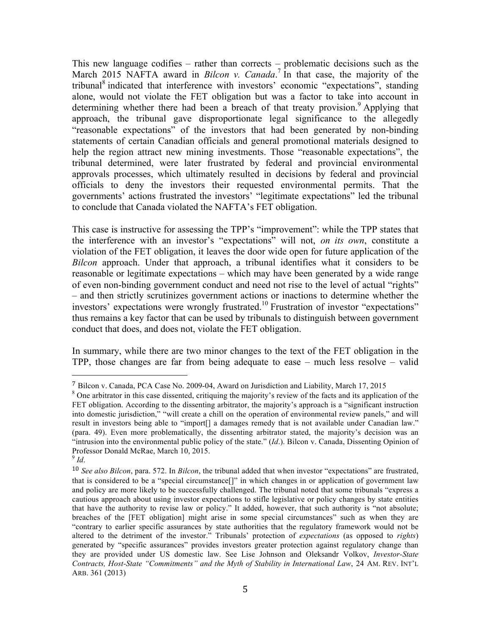This new language codifies – rather than corrects – problematic decisions such as the March 2015 NAFTA award in *Bilcon v. Canada*. <sup>7</sup> In that case, the majority of the tribunal<sup>8</sup> indicated that interference with investors' economic "expectations", standing alone, would not violate the FET obligation but was a factor to take into account in determining whether there had been a breach of that treaty provision.<sup>9</sup> Applying that approach, the tribunal gave disproportionate legal significance to the allegedly "reasonable expectations" of the investors that had been generated by non-binding statements of certain Canadian officials and general promotional materials designed to help the region attract new mining investments. Those "reasonable expectations", the tribunal determined, were later frustrated by federal and provincial environmental approvals processes, which ultimately resulted in decisions by federal and provincial officials to deny the investors their requested environmental permits. That the governments' actions frustrated the investors' "legitimate expectations" led the tribunal to conclude that Canada violated the NAFTA's FET obligation.

This case is instructive for assessing the TPP's "improvement": while the TPP states that the interference with an investor's "expectations" will not, *on its own*, constitute a violation of the FET obligation, it leaves the door wide open for future application of the *Bilcon* approach. Under that approach, a tribunal identifies what it considers to be reasonable or legitimate expectations – which may have been generated by a wide range of even non-binding government conduct and need not rise to the level of actual "rights" – and then strictly scrutinizes government actions or inactions to determine whether the investors' expectations were wrongly frustrated.<sup>10</sup> Frustration of investor "expectations" thus remains a key factor that can be used by tribunals to distinguish between government conduct that does, and does not, violate the FET obligation.

In summary, while there are two minor changes to the text of the FET obligation in the TPP, those changes are far from being adequate to ease – much less resolve – valid

 

<sup>7</sup> Bilcon v. Canada, PCA Case No. 2009-04, Award on Jurisdiction and Liability, March 17, 2015

<sup>&</sup>lt;sup>8</sup> One arbitrator in this case dissented, critiquing the majority's review of the facts and its application of the FET obligation. According to the dissenting arbitrator, the majority's approach is a "significant instruction into domestic jurisdiction," "will create a chill on the operation of environmental review panels," and will result in investors being able to "import[] a damages remedy that is not available under Canadian law." (para. 49). Even more problematically, the dissenting arbitrator stated, the majority's decision was an "intrusion into the environmental public policy of the state." (*Id*.). Bilcon v. Canada, Dissenting Opinion of Professor Donald McRae, March 10, 2015.

 $9$  *Id.* 

<sup>10</sup> *See also Bilcon*, para. 572. In *Bilcon*, the tribunal added that when investor "expectations" are frustrated, that is considered to be a "special circumstance[]" in which changes in or application of government law and policy are more likely to be successfully challenged. The tribunal noted that some tribunals "express a cautious approach about using investor expectations to stifle legislative or policy changes by state entities that have the authority to revise law or policy." It added, however, that such authority is "not absolute; breaches of the [FET obligation] might arise in some special circumstances" such as when they are "contrary to earlier specific assurances by state authorities that the regulatory framework would not be altered to the detriment of the investor." Tribunals' protection of *expectations* (as opposed to *rights*) generated by "specific assurances" provides investors greater protection against regulatory change than they are provided under US domestic law. See Lise Johnson and Oleksandr Volkov, *Investor-State Contracts, Host-State "Commitments" and the Myth of Stability in International Law*, 24 AM. REV. INT'L ARB. 361 (2013)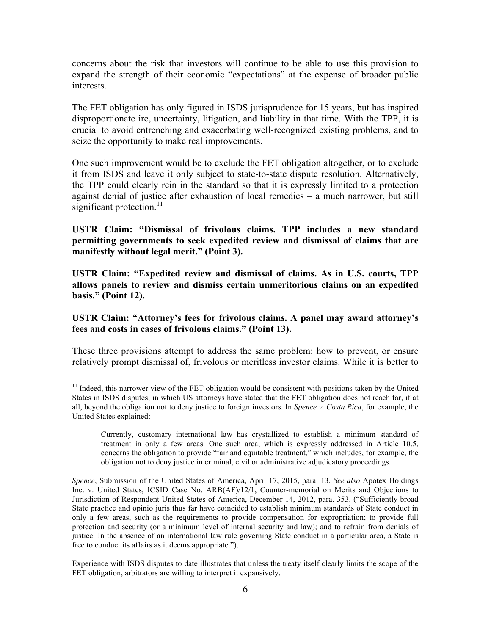concerns about the risk that investors will continue to be able to use this provision to expand the strength of their economic "expectations" at the expense of broader public interests.

The FET obligation has only figured in ISDS jurisprudence for 15 years, but has inspired disproportionate ire, uncertainty, litigation, and liability in that time. With the TPP, it is crucial to avoid entrenching and exacerbating well-recognized existing problems, and to seize the opportunity to make real improvements.

One such improvement would be to exclude the FET obligation altogether, or to exclude it from ISDS and leave it only subject to state-to-state dispute resolution. Alternatively, the TPP could clearly rein in the standard so that it is expressly limited to a protection against denial of justice after exhaustion of local remedies – a much narrower, but still significant protection. $11$ 

**USTR Claim: "Dismissal of frivolous claims. TPP includes a new standard permitting governments to seek expedited review and dismissal of claims that are manifestly without legal merit." (Point 3).**

**USTR Claim: "Expedited review and dismissal of claims. As in U.S. courts, TPP allows panels to review and dismiss certain unmeritorious claims on an expedited basis." (Point 12).**

**USTR Claim: "Attorney's fees for frivolous claims. A panel may award attorney's fees and costs in cases of frivolous claims." (Point 13).**

These three provisions attempt to address the same problem: how to prevent, or ensure relatively prompt dismissal of, frivolous or meritless investor claims. While it is better to

 $11$  Indeed, this narrower view of the FET obligation would be consistent with positions taken by the United States in ISDS disputes, in which US attorneys have stated that the FET obligation does not reach far, if at all, beyond the obligation not to deny justice to foreign investors. In *Spence v. Costa Rica*, for example, the United States explained:

Currently, customary international law has crystallized to establish a minimum standard of treatment in only a few areas. One such area, which is expressly addressed in Article 10.5, concerns the obligation to provide "fair and equitable treatment," which includes, for example, the obligation not to deny justice in criminal, civil or administrative adjudicatory proceedings.

*Spence*, Submission of the United States of America, April 17, 2015, para. 13. *See also* Apotex Holdings Inc. v. United States, ICSID Case No. ARB(AF)/12/1, Counter-memorial on Merits and Objections to Jurisdiction of Respondent United States of America, December 14, 2012, para. 353. ("Sufficiently broad State practice and opinio juris thus far have coincided to establish minimum standards of State conduct in only a few areas, such as the requirements to provide compensation for expropriation; to provide full protection and security (or a minimum level of internal security and law); and to refrain from denials of justice. In the absence of an international law rule governing State conduct in a particular area, a State is free to conduct its affairs as it deems appropriate.").

Experience with ISDS disputes to date illustrates that unless the treaty itself clearly limits the scope of the FET obligation, arbitrators are willing to interpret it expansively.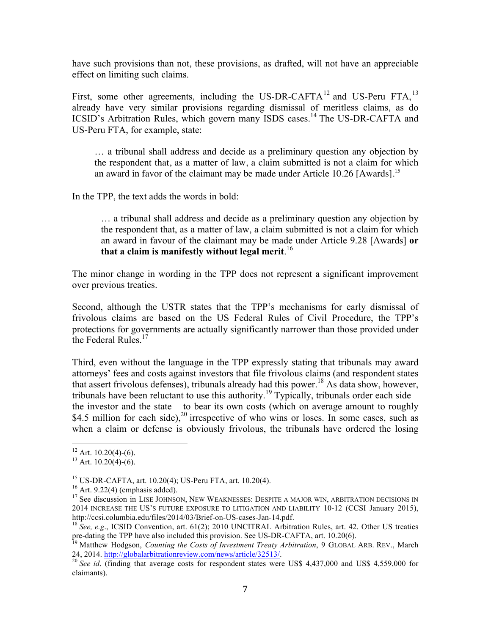have such provisions than not, these provisions, as drafted, will not have an appreciable effect on limiting such claims.

First, some other agreements, including the US-DR-CAFTA<sup>12</sup> and US-Peru FTA,  $^{13}$ already have very similar provisions regarding dismissal of meritless claims, as do ICSID's Arbitration Rules, which govern many ISDS cases.<sup>14</sup> The US-DR-CAFTA and US-Peru FTA, for example, state:

… a tribunal shall address and decide as a preliminary question any objection by the respondent that, as a matter of law, a claim submitted is not a claim for which an award in favor of the claimant may be made under Article 10.26 [Awards].<sup>15</sup>

In the TPP, the text adds the words in bold:

… a tribunal shall address and decide as a preliminary question any objection by the respondent that, as a matter of law, a claim submitted is not a claim for which an award in favour of the claimant may be made under Article 9.28 [Awards] **or that a claim is manifestly without legal merit**. 16

The minor change in wording in the TPP does not represent a significant improvement over previous treaties.

Second, although the USTR states that the TPP's mechanisms for early dismissal of frivolous claims are based on the US Federal Rules of Civil Procedure, the TPP's protections for governments are actually significantly narrower than those provided under the Federal Rules.<sup>17</sup>

Third, even without the language in the TPP expressly stating that tribunals may award attorneys' fees and costs against investors that file frivolous claims (and respondent states that assert frivolous defenses), tribunals already had this power. <sup>18</sup> As data show, however, tribunals have been reluctant to use this authority.<sup>19</sup> Typically, tribunals order each side – the investor and the state – to bear its own costs (which on average amount to roughly \$4.5 million for each side),<sup>20</sup> irrespective of who wins or loses. In some cases, such as when a claim or defense is obviously frivolous, the tribunals have ordered the losing

<sup>&</sup>lt;sup>12</sup> Art. 10.20(4)-(6).<br><sup>13</sup> Art. 10.20(4)-(6).

<sup>&</sup>lt;sup>15</sup> US-DR-CAFTA, art. 10.20(4); US-Peru FTA, art. 10.20(4).<br><sup>16</sup> Art. 9.22(4) (emphasis added). <sup>17</sup> See discussion in LISE JOHNSON, NEW WEAKNESSES: DESPITE A MAJOR WIN, ARBITRATION DECISIONS IN 2014 INCREASE THE US'S FUTURE EXPOSURE TO LITIGATION AND LIABILITY 10-12 (CCSI January 2015), http://ccsi.columbia.edu/files/2014/03/Brief-on-US-cases-Jan-14.pdf.

<sup>&</sup>lt;sup>18</sup> See, e.g., ICSID Convention, art. 61(2); 2010 UNCITRAL Arbitration Rules, art. 42. Other US treaties pre-dating the TPP have also included this provision. See US-DR-CAFTA, art. 10.20(6).<br><sup>19</sup> Matthew Hodgson, *Counting the Costs of Investment Treaty Arbitration*, 9 GLOBAL ARB. REV., March

<sup>24, 2014.</sup> http://globalarbitrationreview.com/news/article/32513/.<br><sup>20</sup> *See id.* (finding that average costs for respondent states were US\$ 4,437,000 and US\$ 4,559,000 for

claimants).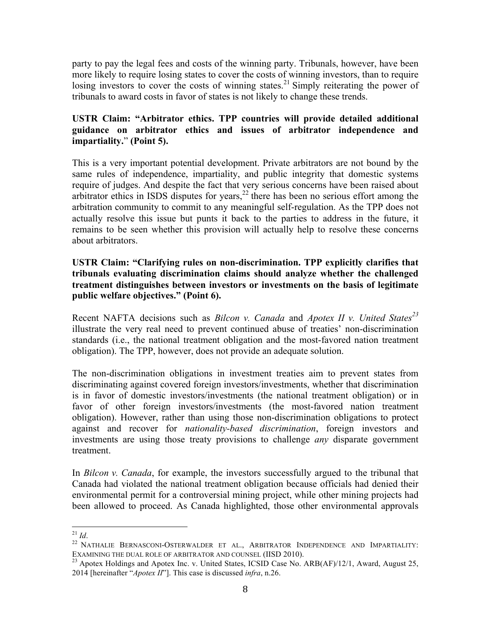party to pay the legal fees and costs of the winning party. Tribunals, however, have been more likely to require losing states to cover the costs of winning investors, than to require losing investors to cover the costs of winning states.<sup>21</sup> Simply reiterating the power of tribunals to award costs in favor of states is not likely to change these trends.

#### **USTR Claim: "Arbitrator ethics. TPP countries will provide detailed additional guidance on arbitrator ethics and issues of arbitrator independence and impartiality.**" **(Point 5).**

This is a very important potential development. Private arbitrators are not bound by the same rules of independence, impartiality, and public integrity that domestic systems require of judges. And despite the fact that very serious concerns have been raised about arbitrator ethics in ISDS disputes for years, $^{22}$  there has been no serious effort among the arbitration community to commit to any meaningful self-regulation. As the TPP does not actually resolve this issue but punts it back to the parties to address in the future, it remains to be seen whether this provision will actually help to resolve these concerns about arbitrators.

#### **USTR Claim: "Clarifying rules on non-discrimination. TPP explicitly clarifies that tribunals evaluating discrimination claims should analyze whether the challenged treatment distinguishes between investors or investments on the basis of legitimate public welfare objectives." (Point 6).**

Recent NAFTA decisions such as *Bilcon v. Canada* and *Apotex II v. United States<sup>23</sup>* illustrate the very real need to prevent continued abuse of treaties' non-discrimination standards (i.e., the national treatment obligation and the most-favored nation treatment obligation). The TPP, however, does not provide an adequate solution.

The non-discrimination obligations in investment treaties aim to prevent states from discriminating against covered foreign investors/investments, whether that discrimination is in favor of domestic investors/investments (the national treatment obligation) or in favor of other foreign investors/investments (the most-favored nation treatment obligation). However, rather than using those non-discrimination obligations to protect against and recover for *nationality-based discrimination*, foreign investors and investments are using those treaty provisions to challenge *any* disparate government treatment.

In *Bilcon v. Canada*, for example, the investors successfully argued to the tribunal that Canada had violated the national treatment obligation because officials had denied their environmental permit for a controversial mining project, while other mining projects had been allowed to proceed. As Canada highlighted, those other environmental approvals

<sup>&</sup>lt;sup>21</sup> *Id*.<br><sup>22</sup> NATHALIE BERNASCONI-OSTERWALDER ET AL., ARBITRATOR INDEPENDENCE AND IMPARTIALITY: EXAMINING THE DUAL ROLE OF ARBITRATOR AND COUNSEL (IISD 2010).<br><sup>23</sup> Apotex Holdings and Apotex Inc. v. United States, ICSID Case No. ARB(AF)/12/1, Award, August 25,

<sup>2014</sup> [hereinafter "*Apotex II*"]. This case is discussed *infra*, n.26.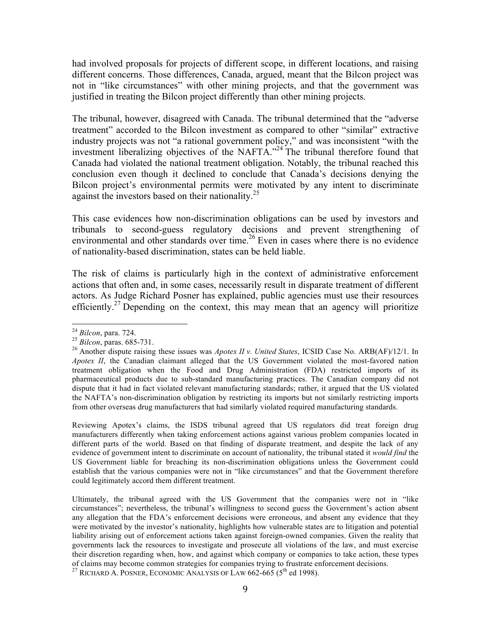had involved proposals for projects of different scope, in different locations, and raising different concerns. Those differences, Canada, argued, meant that the Bilcon project was not in "like circumstances" with other mining projects, and that the government was justified in treating the Bilcon project differently than other mining projects.

The tribunal, however, disagreed with Canada. The tribunal determined that the "adverse treatment" accorded to the Bilcon investment as compared to other "similar" extractive industry projects was not "a rational government policy," and was inconsistent "with the investment liberalizing objectives of the NAFTA."<sup>24</sup> The tribunal therefore found that Canada had violated the national treatment obligation. Notably, the tribunal reached this conclusion even though it declined to conclude that Canada's decisions denying the Bilcon project's environmental permits were motivated by any intent to discriminate against the investors based on their nationality.<sup>25</sup>

This case evidences how non-discrimination obligations can be used by investors and tribunals to second-guess regulatory decisions and prevent strengthening of environmental and other standards over time.<sup>26</sup> Even in cases where there is no evidence of nationality-based discrimination, states can be held liable.

The risk of claims is particularly high in the context of administrative enforcement actions that often and, in some cases, necessarily result in disparate treatment of different actors. As Judge Richard Posner has explained, public agencies must use their resources efficiently.<sup>27</sup> Depending on the context, this may mean that an agency will prioritize

Reviewing Apotex's claims, the ISDS tribunal agreed that US regulators did treat foreign drug manufacturers differently when taking enforcement actions against various problem companies located in different parts of the world. Based on that finding of disparate treatment, and despite the lack of any evidence of government intent to discriminate on account of nationality, the tribunal stated it *would find* the US Government liable for breaching its non-discrimination obligations unless the Government could establish that the various companies were not in "like circumstances" and that the Government therefore could legitimately accord them different treatment.

Ultimately, the tribunal agreed with the US Government that the companies were not in "like circumstances"; nevertheless, the tribunal's willingness to second guess the Government's action absent any allegation that the FDA's enforcement decisions were erroneous, and absent any evidence that they were motivated by the investor's nationality, highlights how vulnerable states are to litigation and potential liability arising out of enforcement actions taken against foreign-owned companies. Given the reality that governments lack the resources to investigate and prosecute all violations of the law, and must exercise their discretion regarding when, how, and against which company or companies to take action, these types of claims may become common strategies for companies trying to frustrate enforcement decisions.<br><sup>27</sup> RICHARD A. POSNER, ECONOMIC ANALYSIS OF LAW 662-665 (5<sup>th</sup> ed 1998).

<sup>&</sup>lt;sup>24</sup> *Bilcon*, para. 724.<br><sup>25</sup> *Bilcon*, paras. 685-731.<br><sup>26</sup> Another dispute raising these issues was *Apotex II v. United States*, ICSID Case No. ARB(AF)/12/1. In *Apotex II*, the Canadian claimant alleged that the US Government violated the most-favored nation treatment obligation when the Food and Drug Administration (FDA) restricted imports of its pharmaceutical products due to sub-standard manufacturing practices. The Canadian company did not dispute that it had in fact violated relevant manufacturing standards; rather, it argued that the US violated the NAFTA's non-discrimination obligation by restricting its imports but not similarly restricting imports from other overseas drug manufacturers that had similarly violated required manufacturing standards.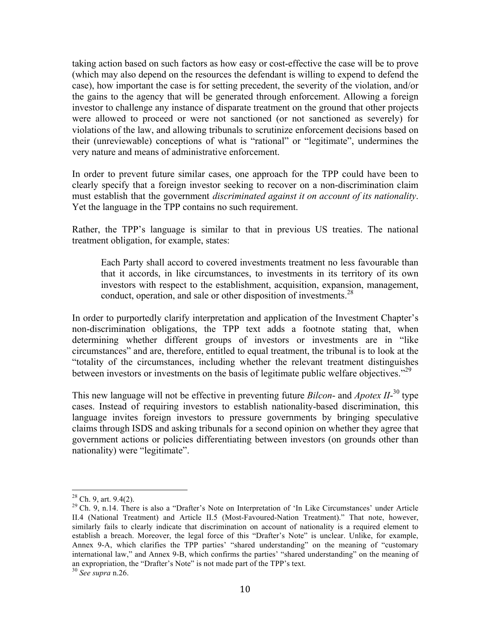taking action based on such factors as how easy or cost-effective the case will be to prove (which may also depend on the resources the defendant is willing to expend to defend the case), how important the case is for setting precedent, the severity of the violation, and/or the gains to the agency that will be generated through enforcement. Allowing a foreign investor to challenge any instance of disparate treatment on the ground that other projects were allowed to proceed or were not sanctioned (or not sanctioned as severely) for violations of the law, and allowing tribunals to scrutinize enforcement decisions based on their (unreviewable) conceptions of what is "rational" or "legitimate", undermines the very nature and means of administrative enforcement.

In order to prevent future similar cases, one approach for the TPP could have been to clearly specify that a foreign investor seeking to recover on a non-discrimination claim must establish that the government *discriminated against it on account of its nationality*. Yet the language in the TPP contains no such requirement.

Rather, the TPP's language is similar to that in previous US treaties. The national treatment obligation, for example, states:

Each Party shall accord to covered investments treatment no less favourable than that it accords, in like circumstances, to investments in its territory of its own investors with respect to the establishment, acquisition, expansion, management, conduct, operation, and sale or other disposition of investments.<sup>28</sup>

In order to purportedly clarify interpretation and application of the Investment Chapter's non-discrimination obligations, the TPP text adds a footnote stating that, when determining whether different groups of investors or investments are in "like circumstances" and are, therefore, entitled to equal treatment, the tribunal is to look at the "totality of the circumstances, including whether the relevant treatment distinguishes between investors or investments on the basis of legitimate public welfare objectives."<sup>29</sup>

This new language will not be effective in preventing future *Bilcon*- and *Apotex II*-<sup>30</sup> type cases. Instead of requiring investors to establish nationality-based discrimination, this language invites foreign investors to pressure governments by bringing speculative claims through ISDS and asking tribunals for a second opinion on whether they agree that government actions or policies differentiating between investors (on grounds other than nationality) were "legitimate".

<sup>&</sup>lt;sup>28</sup> Ch. 9, art. 9.4(2).<br><sup>29</sup> Ch. 9, n.14. There is also a "Drafter's Note on Interpretation of 'In Like Circumstances' under Article II.4 (National Treatment) and Article II.5 (Most-Favoured-Nation Treatment)." That note, however, similarly fails to clearly indicate that discrimination on account of nationality is a required element to establish a breach. Moreover, the legal force of this "Drafter's Note" is unclear. Unlike, for example, Annex 9-A, which clarifies the TPP parties' "shared understanding" on the meaning of "customary international law," and Annex 9-B, which confirms the parties' "shared understanding" on the meaning of an expropriation, the "Drafter's Note" is not made part of the TPP's text.

<sup>30</sup> *See supra* n.26.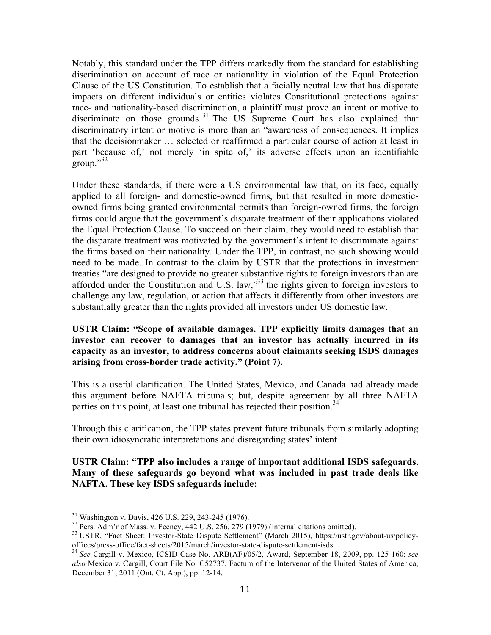Notably, this standard under the TPP differs markedly from the standard for establishing discrimination on account of race or nationality in violation of the Equal Protection Clause of the US Constitution. To establish that a facially neutral law that has disparate impacts on different individuals or entities violates Constitutional protections against race- and nationality-based discrimination, a plaintiff must prove an intent or motive to discriminate on those grounds.<sup>31</sup> The US Supreme Court has also explained that discriminatory intent or motive is more than an "awareness of consequences. It implies that the decisionmaker … selected or reaffirmed a particular course of action at least in part 'because of,' not merely 'in spite of,' its adverse effects upon an identifiable  $g$ roup." $^{32}$ 

Under these standards, if there were a US environmental law that, on its face, equally applied to all foreign- and domestic-owned firms, but that resulted in more domesticowned firms being granted environmental permits than foreign-owned firms, the foreign firms could argue that the government's disparate treatment of their applications violated the Equal Protection Clause. To succeed on their claim, they would need to establish that the disparate treatment was motivated by the government's intent to discriminate against the firms based on their nationality. Under the TPP, in contrast, no such showing would need to be made. In contrast to the claim by USTR that the protections in investment treaties "are designed to provide no greater substantive rights to foreign investors than are afforded under the Constitution and U.S. law,"33 the rights given to foreign investors to challenge any law, regulation, or action that affects it differently from other investors are substantially greater than the rights provided all investors under US domestic law.

#### **USTR Claim: "Scope of available damages. TPP explicitly limits damages that an investor can recover to damages that an investor has actually incurred in its capacity as an investor, to address concerns about claimants seeking ISDS damages arising from cross-border trade activity." (Point 7).**

This is a useful clarification. The United States, Mexico, and Canada had already made this argument before NAFTA tribunals; but, despite agreement by all three NAFTA parties on this point, at least one tribunal has rejected their position.<sup>34</sup>

Through this clarification, the TPP states prevent future tribunals from similarly adopting their own idiosyncratic interpretations and disregarding states' intent.

#### **USTR Claim: "TPP also includes a range of important additional ISDS safeguards. Many of these safeguards go beyond what was included in past trade deals like NAFTA. These key ISDS safeguards include:**

<sup>&</sup>lt;sup>31</sup> Washington v. Davis, 426 U.S. 229, 243-245 (1976).<br><sup>32</sup> Pers. Adm'r of Mass. v. Feeney, 442 U.S. 256, 279 (1979) (internal citations omitted).<br><sup>33</sup> USTR, "Fact Sheet: Investor-State Dispute Settlement" (March 2015),

<sup>&</sup>lt;sup>34</sup> See Cargill v. Mexico, ICSID Case No. ARB(AF)/05/2, Award, September 18, 2009, pp. 125-160; see *also* Mexico v. Cargill, Court File No. C52737, Factum of the Intervenor of the United States of America, December 31, 2011 (Ont. Ct. App.), pp. 12-14.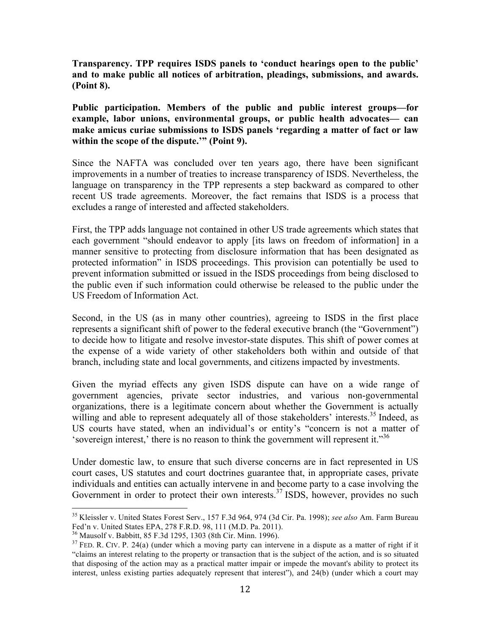**Transparency. TPP requires ISDS panels to 'conduct hearings open to the public' and to make public all notices of arbitration, pleadings, submissions, and awards. (Point 8).**

**Public participation. Members of the public and public interest groups—for example, labor unions, environmental groups, or public health advocates— can make amicus curiae submissions to ISDS panels 'regarding a matter of fact or law within the scope of the dispute.'" (Point 9).**

Since the NAFTA was concluded over ten years ago, there have been significant improvements in a number of treaties to increase transparency of ISDS. Nevertheless, the language on transparency in the TPP represents a step backward as compared to other recent US trade agreements. Moreover, the fact remains that ISDS is a process that excludes a range of interested and affected stakeholders.

First, the TPP adds language not contained in other US trade agreements which states that each government "should endeavor to apply [its laws on freedom of information] in a manner sensitive to protecting from disclosure information that has been designated as protected information" in ISDS proceedings. This provision can potentially be used to prevent information submitted or issued in the ISDS proceedings from being disclosed to the public even if such information could otherwise be released to the public under the US Freedom of Information Act.

Second, in the US (as in many other countries), agreeing to ISDS in the first place represents a significant shift of power to the federal executive branch (the "Government") to decide how to litigate and resolve investor-state disputes. This shift of power comes at the expense of a wide variety of other stakeholders both within and outside of that branch, including state and local governments, and citizens impacted by investments.

Given the myriad effects any given ISDS dispute can have on a wide range of government agencies, private sector industries, and various non-governmental organizations, there is a legitimate concern about whether the Government is actually willing and able to represent adequately all of those stakeholders' interests.<sup>35</sup> Indeed, as US courts have stated, when an individual's or entity's "concern is not a matter of 'sovereign interest,' there is no reason to think the government will represent it."<sup>36</sup>

Under domestic law, to ensure that such diverse concerns are in fact represented in US court cases, US statutes and court doctrines guarantee that, in appropriate cases, private individuals and entities can actually intervene in and become party to a case involving the Government in order to protect their own interests.<sup>37</sup> ISDS, however, provides no such

 <sup>35</sup> Kleissler v. United States Forest Serv., 157 F.3d 964, 974 (3d Cir. Pa. 1998); *see also* Am. Farm Bureau Fed'n v. United States EPA, 278 F.R.D. 98, 111 (M.D. Pa. 2011).<br><sup>36</sup> Mausolf v. Babbitt, 85 F.3d 1295, 1303 (8th Cir. Minn. 1996).

 $37$  FED. R. CIV. P. 24(a) (under which a moving party can intervene in a dispute as a matter of right if it "claims an interest relating to the property or transaction that is the subject of the action, and is so situated that disposing of the action may as a practical matter impair or impede the movant's ability to protect its interest, unless existing parties adequately represent that interest"), and 24(b) (under which a court may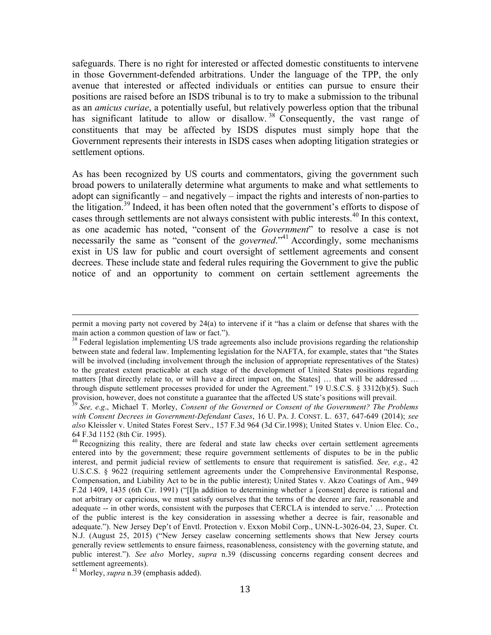safeguards. There is no right for interested or affected domestic constituents to intervene in those Government-defended arbitrations. Under the language of the TPP, the only avenue that interested or affected individuals or entities can pursue to ensure their positions are raised before an ISDS tribunal is to try to make a submission to the tribunal as an *amicus curiae*, a potentially useful, but relatively powerless option that the tribunal has significant latitude to allow or disallow.<sup>38</sup> Consequently, the vast range of constituents that may be affected by ISDS disputes must simply hope that the Government represents their interests in ISDS cases when adopting litigation strategies or settlement options.

As has been recognized by US courts and commentators, giving the government such broad powers to unilaterally determine what arguments to make and what settlements to adopt can significantly – and negatively – impact the rights and interests of non-parties to the litigation.<sup>39</sup> Indeed, it has been often noted that the government's efforts to dispose of cases through settlements are not always consistent with public interests.<sup>40</sup> In this context, as one academic has noted, "consent of the *Government*" to resolve a case is not necessarily the same as "consent of the *governed*."<sup>41</sup> Accordingly, some mechanisms exist in US law for public and court oversight of settlement agreements and consent decrees. These include state and federal rules requiring the Government to give the public notice of and an opportunity to comment on certain settlement agreements the

<sup>&</sup>lt;u> 1989 - Andrea San Andrea San Andrea San Andrea San Andrea San Andrea San Andrea San Andrea San Andrea San An</u> permit a moving party not covered by 24(a) to intervene if it "has a claim or defense that shares with the main action a common question of law or fact.").

<sup>&</sup>lt;sup>38</sup> Federal legislation implementing US trade agreements also include provisions regarding the relationship between state and federal law. Implementing legislation for the NAFTA, for example, states that "the States will be involved (including involvement through the inclusion of appropriate representatives of the States) to the greatest extent practicable at each stage of the development of United States positions regarding matters [that directly relate to, or will have a direct impact on, the States] … that will be addressed … through dispute settlement processes provided for under the Agreement." 19 U.S.C.S. § 3312(b)(5). Such provision, however, does not constitute a guarantee that the affected US state's positions will prevail.<br><sup>39</sup> *See, e.g.*, Michael T. Morley, *Consent of the Governed or Consent of the Government? The Problems* 

*with Consent Decrees in Government-Defendant Cases*, 16 U. PA. J. CONST. L. 637, 647-649 (2014); *see also* Kleissler v. United States Forest Serv., 157 F.3d 964 (3d Cir.1998); United States v. Union Elec. Co., 64 F.3d 1152 (8th Cir. 1995).<br><sup>40</sup> Recognizing this reality, there are federal and state law checks over certain settlement agreements

entered into by the government; these require government settlements of disputes to be in the public interest, and permit judicial review of settlements to ensure that requirement is satisfied. *See, e.g*., 42 U.S.C.S. § 9622 (requiring settlement agreements under the Comprehensive Environmental Response, Compensation, and Liability Act to be in the public interest); United States v. Akzo Coatings of Am., 949 F.2d 1409, 1435 (6th Cir. 1991) ("[I]n addition to determining whether a [consent] decree is rational and not arbitrary or capricious, we must satisfy ourselves that the terms of the decree are fair, reasonable and adequate -- in other words, consistent with the purposes that CERCLA is intended to serve.' … Protection of the public interest is the key consideration in assessing whether a decree is fair, reasonable and adequate."). New Jersey Dep't of Envtl. Protection v. Exxon Mobil Corp., UNN-L-3026-04, 23, Super. Ct. N.J. (August 25, 2015) ("New Jersey caselaw concerning settlements shows that New Jersey courts generally review settlements to ensure fairness, reasonableness, consistency with the governing statute, and public interest."). *See also* Morley, *supra* n.39 (discussing concerns regarding consent decrees and settlement agreements).

<sup>41</sup> Morley, *supra* n.39 (emphasis added).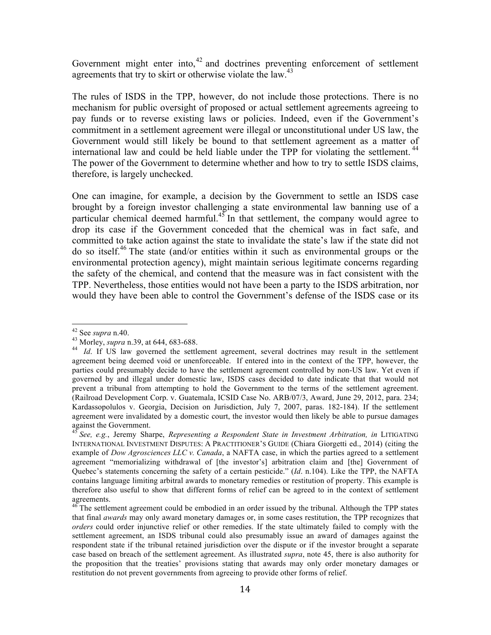Government might enter into,<sup>42</sup> and doctrines preventing enforcement of settlement agreements that try to skirt or otherwise violate the law.<sup>43</sup>

The rules of ISDS in the TPP, however, do not include those protections. There is no mechanism for public oversight of proposed or actual settlement agreements agreeing to pay funds or to reverse existing laws or policies. Indeed, even if the Government's commitment in a settlement agreement were illegal or unconstitutional under US law, the Government would still likely be bound to that settlement agreement as a matter of international law and could be held liable under the TPP for violating the settlement.  $44$ The power of the Government to determine whether and how to try to settle ISDS claims, therefore, is largely unchecked.

One can imagine, for example, a decision by the Government to settle an ISDS case brought by a foreign investor challenging a state environmental law banning use of a particular chemical deemed harmful.<sup>45</sup> In that settlement, the company would agree to drop its case if the Government conceded that the chemical was in fact safe, and committed to take action against the state to invalidate the state's law if the state did not do so itself.<sup>46</sup> The state (and/or entities within it such as environmental groups or the environmental protection agency), might maintain serious legitimate concerns regarding the safety of the chemical, and contend that the measure was in fact consistent with the TPP. Nevertheless, those entities would not have been a party to the ISDS arbitration, nor would they have been able to control the Government's defense of the ISDS case or its

<sup>42</sup> See *supra* n.40.<br><sup>43</sup> Morley, *supra* n.39, at 644, 683-688.<br><sup>44</sup> Id. If US law governed the settlement agreement, several doctrines may result in the settlement agreement being deemed void or unenforceable. If entered into in the context of the TPP, however, the parties could presumably decide to have the settlement agreement controlled by non-US law. Yet even if governed by and illegal under domestic law, ISDS cases decided to date indicate that that would not prevent a tribunal from attempting to hold the Government to the terms of the settlement agreement. (Railroad Development Corp. v. Guatemala, ICSID Case No. ARB/07/3, Award, June 29, 2012, para. 234; Kardassopolulos v. Georgia, Decision on Jurisdiction, July 7, 2007, paras. 182-184). If the settlement agreement were invalidated by a domestic court, the investor would then likely be able to pursue damages against the Government.

<sup>45</sup> *See, e.g.*, Jeremy Sharpe, *Representing a Respondent State in Investment Arbitration, in* LITIGATING INTERNATIONAL INVESTMENT DISPUTES: A PRACTITIONER'S GUIDE (Chiara Giorgetti ed., 2014) (citing the example of *Dow Agrosciences LLC v. Canada*, a NAFTA case, in which the parties agreed to a settlement agreement "memorializing withdrawal of [the investor's] arbitration claim and [the] Government of Quebec's statements concerning the safety of a certain pesticide." (*Id*. n.104). Like the TPP, the NAFTA contains language limiting arbitral awards to monetary remedies or restitution of property. This example is therefore also useful to show that different forms of relief can be agreed to in the context of settlement agreements.

<sup>&</sup>lt;sup>46</sup> The settlement agreement could be embodied in an order issued by the tribunal. Although the TPP states that final *awards* may only award monetary damages or, in some cases restitution, the TPP recognizes that *orders* could order injunctive relief or other remedies. If the state ultimately failed to comply with the settlement agreement, an ISDS tribunal could also presumably issue an award of damages against the respondent state if the tribunal retained jurisdiction over the dispute or if the investor brought a separate case based on breach of the settlement agreement. As illustrated *supra*, note 45, there is also authority for the proposition that the treaties' provisions stating that awards may only order monetary damages or restitution do not prevent governments from agreeing to provide other forms of relief.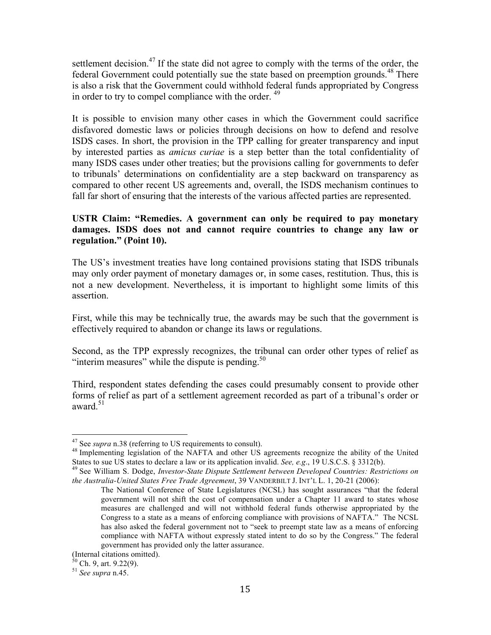settlement decision.<sup>47</sup> If the state did not agree to comply with the terms of the order, the federal Government could potentially sue the state based on preemption grounds.<sup>48</sup> There is also a risk that the Government could withhold federal funds appropriated by Congress in order to try to compel compliance with the order.<sup>49</sup>

It is possible to envision many other cases in which the Government could sacrifice disfavored domestic laws or policies through decisions on how to defend and resolve ISDS cases. In short, the provision in the TPP calling for greater transparency and input by interested parties as *amicus curiae* is a step better than the total confidentiality of many ISDS cases under other treaties; but the provisions calling for governments to defer to tribunals' determinations on confidentiality are a step backward on transparency as compared to other recent US agreements and, overall, the ISDS mechanism continues to fall far short of ensuring that the interests of the various affected parties are represented.

#### **USTR Claim: "Remedies. A government can only be required to pay monetary damages. ISDS does not and cannot require countries to change any law or regulation." (Point 10).**

The US's investment treaties have long contained provisions stating that ISDS tribunals may only order payment of monetary damages or, in some cases, restitution. Thus, this is not a new development. Nevertheless, it is important to highlight some limits of this assertion.

First, while this may be technically true, the awards may be such that the government is effectively required to abandon or change its laws or regulations.

Second, as the TPP expressly recognizes, the tribunal can order other types of relief as "interim measures" while the dispute is pending. $50$ 

Third, respondent states defending the cases could presumably consent to provide other forms of relief as part of a settlement agreement recorded as part of a tribunal's order or award. $51$ 

<sup>&</sup>lt;sup>47</sup> See *supra* n.38 (referring to US requirements to consult).<br><sup>48</sup> Implementing legislation of the NAFTA and other US agreements recognize the ability of the United States to sue US states to declare a law or its application invalid. *See, e.g.*, 19 U.S.C.S. § 3312(b).<br><sup>49</sup> See William S. Dodge, *Investor-State Dispute Settlement between Developed Countries: Restrictions on* 

*the Australia-United States Free Trade Agreement*, 39 VANDERBILT J. INT'L L. 1, 20-21 (2006):

The National Conference of State Legislatures (NCSL) has sought assurances "that the federal government will not shift the cost of compensation under a Chapter 11 award to states whose measures are challenged and will not withhold federal funds otherwise appropriated by the Congress to a state as a means of enforcing compliance with provisions of NAFTA." The NCSL has also asked the federal government not to "seek to preempt state law as a means of enforcing compliance with NAFTA without expressly stated intent to do so by the Congress." The federal government has provided only the latter assurance.

<sup>(</sup>Internal citations omitted).

<sup>50</sup> Ch. 9, art. 9.22(9). <sup>51</sup> *See supra* n.45.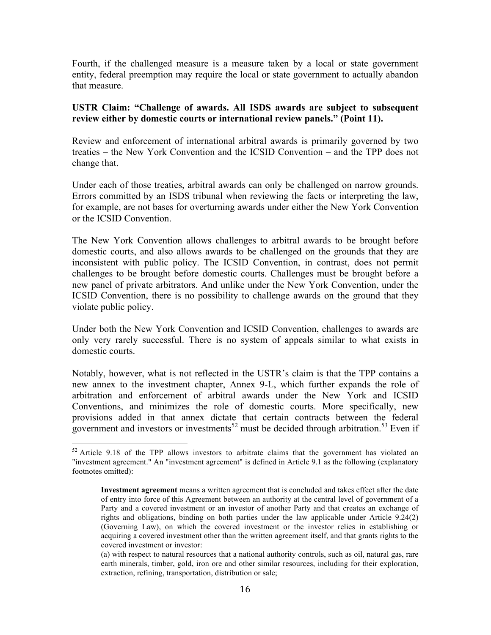Fourth, if the challenged measure is a measure taken by a local or state government entity, federal preemption may require the local or state government to actually abandon that measure.

#### **USTR Claim: "Challenge of awards. All ISDS awards are subject to subsequent review either by domestic courts or international review panels." (Point 11).**

Review and enforcement of international arbitral awards is primarily governed by two treaties – the New York Convention and the ICSID Convention – and the TPP does not change that.

Under each of those treaties, arbitral awards can only be challenged on narrow grounds. Errors committed by an ISDS tribunal when reviewing the facts or interpreting the law, for example, are not bases for overturning awards under either the New York Convention or the ICSID Convention.

The New York Convention allows challenges to arbitral awards to be brought before domestic courts, and also allows awards to be challenged on the grounds that they are inconsistent with public policy. The ICSID Convention, in contrast, does not permit challenges to be brought before domestic courts. Challenges must be brought before a new panel of private arbitrators. And unlike under the New York Convention, under the ICSID Convention, there is no possibility to challenge awards on the ground that they violate public policy.

Under both the New York Convention and ICSID Convention, challenges to awards are only very rarely successful. There is no system of appeals similar to what exists in domestic courts.

Notably, however, what is not reflected in the USTR's claim is that the TPP contains a new annex to the investment chapter, Annex 9-L, which further expands the role of arbitration and enforcement of arbitral awards under the New York and ICSID Conventions, and minimizes the role of domestic courts. More specifically, new provisions added in that annex dictate that certain contracts between the federal government and investors or investments<sup>52</sup> must be decided through arbitration.<sup>53</sup> Even if

<sup>&</sup>lt;sup>52</sup> Article 9.18 of the TPP allows investors to arbitrate claims that the government has violated an "investment agreement." An "investment agreement" is defined in Article 9.1 as the following (explanatory footnotes omitted):

**Investment agreement** means a written agreement that is concluded and takes effect after the date of entry into force of this Agreement between an authority at the central level of government of a Party and a covered investment or an investor of another Party and that creates an exchange of rights and obligations, binding on both parties under the law applicable under Article 9.24(2) (Governing Law), on which the covered investment or the investor relies in establishing or acquiring a covered investment other than the written agreement itself, and that grants rights to the covered investment or investor:

<sup>(</sup>a) with respect to natural resources that a national authority controls, such as oil, natural gas, rare earth minerals, timber, gold, iron ore and other similar resources, including for their exploration, extraction, refining, transportation, distribution or sale;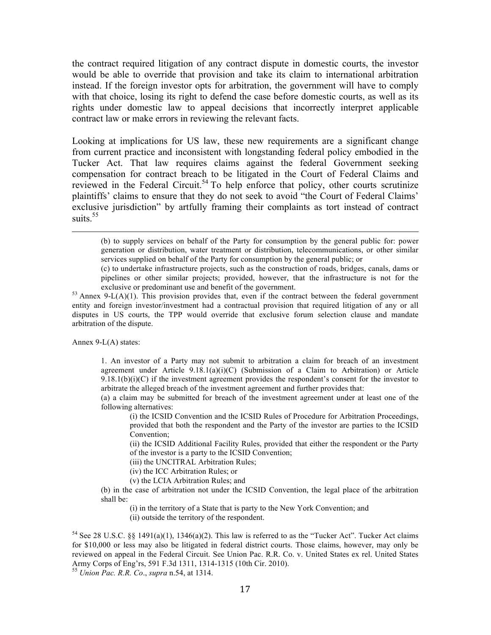the contract required litigation of any contract dispute in domestic courts, the investor would be able to override that provision and take its claim to international arbitration instead. If the foreign investor opts for arbitration, the government will have to comply with that choice, losing its right to defend the case before domestic courts, as well as its rights under domestic law to appeal decisions that incorrectly interpret applicable contract law or make errors in reviewing the relevant facts.

Looking at implications for US law, these new requirements are a significant change from current practice and inconsistent with longstanding federal policy embodied in the Tucker Act. That law requires claims against the federal Government seeking compensation for contract breach to be litigated in the Court of Federal Claims and reviewed in the Federal Circuit.<sup>54</sup> To help enforce that policy, other courts scrutinize plaintiffs' claims to ensure that they do not seek to avoid "the Court of Federal Claims' exclusive jurisdiction" by artfully framing their complaints as tort instead of contract suits.<sup>55</sup>

<u> 1989 - Andrea San Andrea San Andrea San Andrea San Andrea San Andrea San Andrea San Andrea San Andrea San An</u>

entity and foreign investor/investment had a contractual provision that required litigation of any or all disputes in US courts, the TPP would override that exclusive forum selection clause and mandate arbitration of the dispute.

Annex 9-L(A) states:

1. An investor of a Party may not submit to arbitration a claim for breach of an investment agreement under Article  $9.18.1(a)(i)(C)$  (Submission of a Claim to Arbitration) or Article  $9.18.1(b)(i)(C)$  if the investment agreement provides the respondent's consent for the investor to arbitrate the alleged breach of the investment agreement and further provides that:

(a) a claim may be submitted for breach of the investment agreement under at least one of the following alternatives:

(i) the ICSID Convention and the ICSID Rules of Procedure for Arbitration Proceedings, provided that both the respondent and the Party of the investor are parties to the ICSID Convention;

(ii) the ICSID Additional Facility Rules, provided that either the respondent or the Party of the investor is a party to the ICSID Convention;

(iii) the UNCITRAL Arbitration Rules;

(iv) the ICC Arbitration Rules; or

(v) the LCIA Arbitration Rules; and

(b) in the case of arbitration not under the ICSID Convention, the legal place of the arbitration shall be:

(i) in the territory of a State that is party to the New York Convention; and

(ii) outside the territory of the respondent.

<sup>(</sup>b) to supply services on behalf of the Party for consumption by the general public for: power generation or distribution, water treatment or distribution, telecommunications, or other similar services supplied on behalf of the Party for consumption by the general public; or

<sup>(</sup>c) to undertake infrastructure projects, such as the construction of roads, bridges, canals, dams or pipelines or other similar projects; provided, however, that the infrastructure is not for the exclusive or predominant use and benefit of the government.<br><sup>53</sup> Annex 9-L(A)(1). This provision provides that, even if the contract between the federal government

<sup>54</sup> See 28 U.S.C. §§ 1491(a)(1), 1346(a)(2). This law is referred to as the "Tucker Act". Tucker Act claims for \$10,000 or less may also be litigated in federal district courts. Those claims, however, may only be reviewed on appeal in the Federal Circuit. See Union Pac. R.R. Co. v. United States ex rel. United States Army Corps of Eng'rs, 591 F.3d 1311, 1314-1315 (10th Cir. 2010). <sup>55</sup> *Union Pac. R.R. Co*., *supra* n.54, at 1314.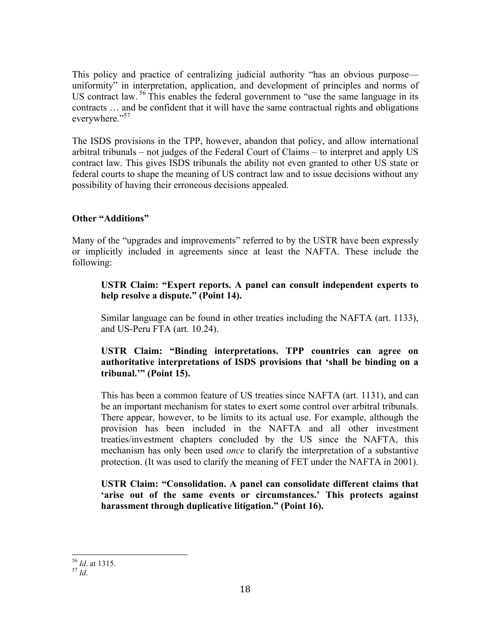This policy and practice of centralizing judicial authority "has an obvious purpose uniformity" in interpretation, application, and development of principles and norms of US contract law.<sup>56</sup> This enables the federal government to "use the same language in its contracts … and be confident that it will have the same contractual rights and obligations everywhere."<sup>57</sup>

The ISDS provisions in the TPP, however, abandon that policy, and allow international arbitral tribunals – not judges of the Federal Court of Claims – to interpret and apply US contract law. This gives ISDS tribunals the ability not even granted to other US state or federal courts to shape the meaning of US contract law and to issue decisions without any possibility of having their erroneous decisions appealed.

#### **Other "Additions"**

Many of the "upgrades and improvements" referred to by the USTR have been expressly or implicitly included in agreements since at least the NAFTA. These include the following:

#### **USTR Claim: "Expert reports. A panel can consult independent experts to help resolve a dispute." (Point 14).**

Similar language can be found in other treaties including the NAFTA (art. 1133), and US-Peru FTA (art. 10.24).

#### **USTR Claim: "Binding interpretations. TPP countries can agree on authoritative interpretations of ISDS provisions that 'shall be binding on a tribunal.'" (Point 15).**

This has been a common feature of US treaties since NAFTA (art. 1131), and can be an important mechanism for states to exert some control over arbitral tribunals. There appear, however, to be limits to its actual use. For example, although the provision has been included in the NAFTA and all other investment treaties/investment chapters concluded by the US since the NAFTA, this mechanism has only been used *once* to clarify the interpretation of a substantive protection. (It was used to clarify the meaning of FET under the NAFTA in 2001).

#### **USTR Claim: "Consolidation. A panel can consolidate different claims that 'arise out of the same events or circumstances.' This protects against harassment through duplicative litigation." (Point 16).**

 <sup>56</sup> *Id*. at 1315. <sup>57</sup> *Id*.